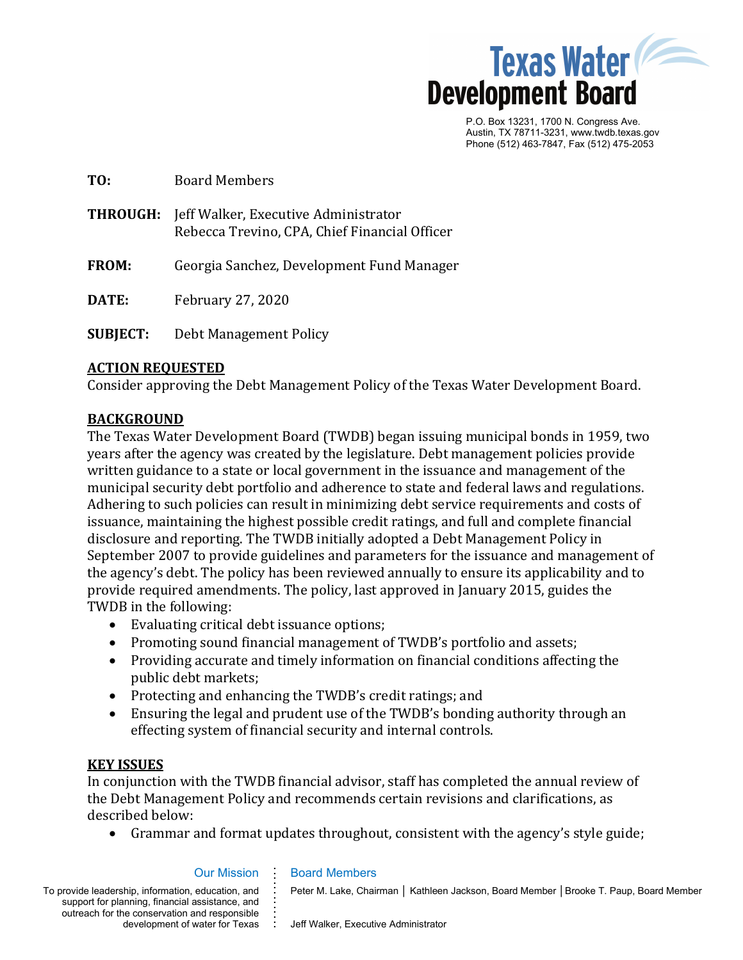

P.O. Box 13231, 1700 N. Congress Ave. Austin, TX 78711-3231, www.twdb.texas.gov Phone (512) 463-7847, Fax (512) 475-2053

| TO:             | <b>Board Members</b>                                                                  |
|-----------------|---------------------------------------------------------------------------------------|
| <b>THROUGH:</b> | Jeff Walker, Executive Administrator<br>Rebecca Trevino, CPA, Chief Financial Officer |
| <b>FROM:</b>    | Georgia Sanchez, Development Fund Manager                                             |
| DATE:           | February 27, 2020                                                                     |
| <b>SUBJECT:</b> | Debt Management Policy                                                                |

## **ACTION REQUESTED**

Consider approving the Debt Management Policy of the Texas Water Development Board.

## **BACKGROUND**

The Texas Water Development Board (TWDB) began issuing municipal bonds in 1959, two years after the agency was created by the legislature. Debt management policies provide written guidance to a state or local government in the issuance and management of the municipal security debt portfolio and adherence to state and federal laws and regulations. Adhering to such policies can result in minimizing debt service requirements and costs of issuance, maintaining the highest possible credit ratings, and full and complete financial disclosure and reporting. The TWDB initially adopted a Debt Management Policy in September 2007 to provide guidelines and parameters for the issuance and management of the agency's debt. The policy has been reviewed annually to ensure its applicability and to provide required amendments. The policy, last approved in January 2015, guides the TWDB in the following:

- Evaluating critical debt issuance options;
- Promoting sound financial management of TWDB's portfolio and assets;
- Providing accurate and timely information on financial conditions affecting the public debt markets;
- Protecting and enhancing the TWDB's credit ratings; and
- Ensuring the legal and prudent use of the TWDB's bonding authority through an effecting system of financial security and internal controls.

## **KEY ISSUES**

In conjunction with the TWDB financial advisor, staff has completed the annual review of the Debt Management Policy and recommends certain revisions and clarifications, as described below:

• Grammar and format updates throughout, consistent with the agency's style guide;

### Our Mission

**. . . . . . . . . .**

To provide leadership, information, education, and support for planning, financial assistance, and outreach for the conservation and responsible e conservation and responsible **;**<br>development of water for Texas **:** 

## Board Members

Peter M. Lake, Chairman │ Kathleen Jackson, Board Member │ Brooke T. Paup, Board Member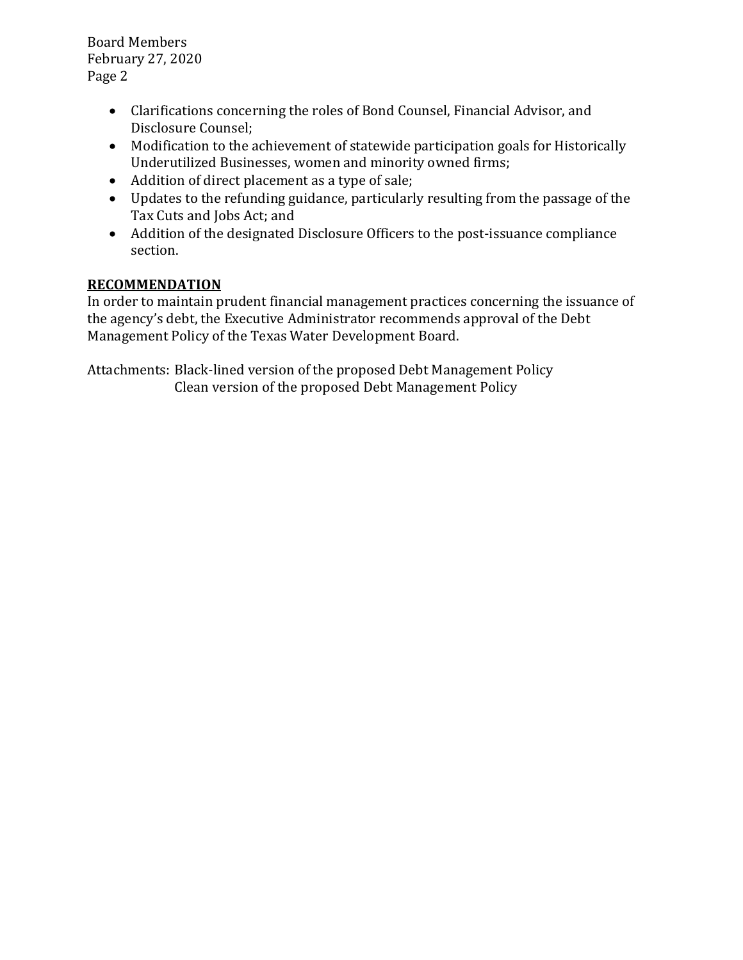Board Members February 27, 2020 Page 2

- Clarifications concerning the roles of Bond Counsel, Financial Advisor, and Disclosure Counsel;
- Modification to the achievement of statewide participation goals for Historically Underutilized Businesses, women and minority owned firms;
- Addition of direct placement as a type of sale;
- Updates to the refunding guidance, particularly resulting from the passage of the Tax Cuts and Jobs Act; and
- Addition of the designated Disclosure Officers to the post-issuance compliance section.

# **RECOMMENDATION**

In order to maintain prudent financial management practices concerning the issuance of the agency's debt, the Executive Administrator recommends approval of the Debt Management Policy of the Texas Water Development Board.

Attachments: Black-lined version of the proposed Debt Management Policy Clean version of the proposed Debt Management Policy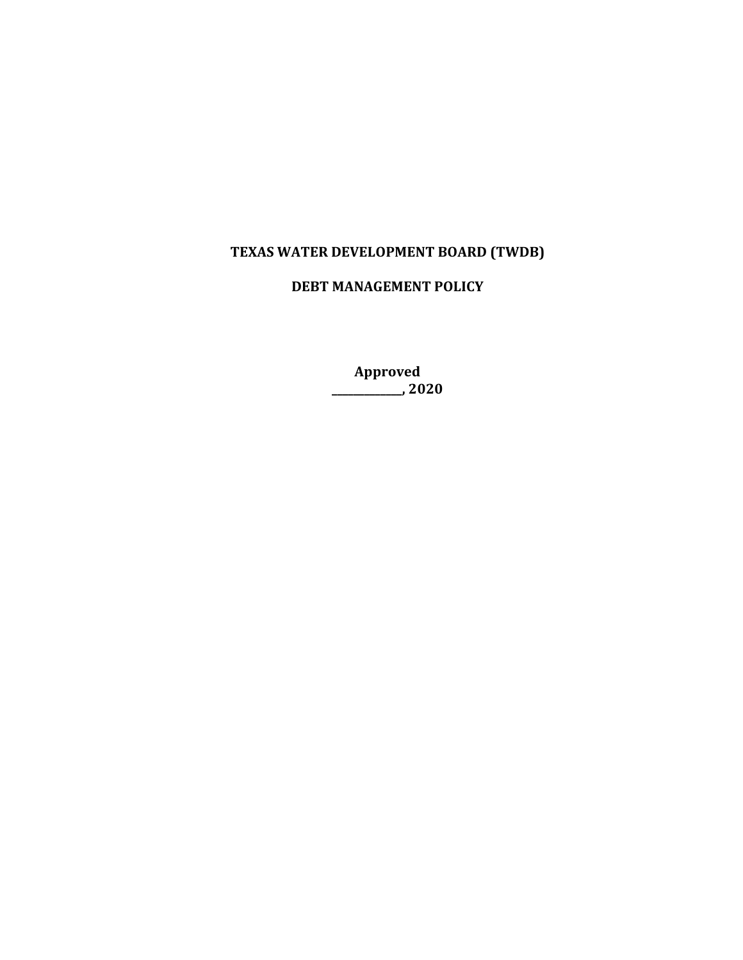# **TEXAS WATER DEVELOPMENT BOARD (TWDB)**

# **DEBT MANAGEMENT POLICY**

**Approved \_\_\_\_\_\_\_\_\_\_\_\_\_, 2020**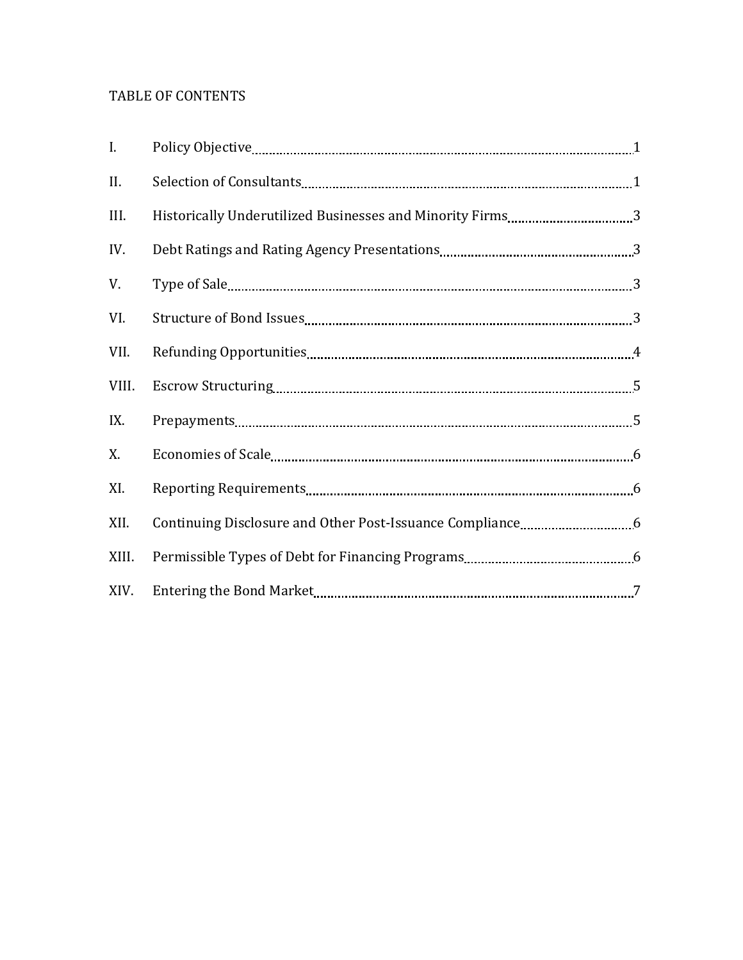# TABLE OF CONTENTS

| I.    |  |
|-------|--|
| II.   |  |
| III.  |  |
| IV.   |  |
| V.    |  |
| VI.   |  |
| VII.  |  |
| VIII. |  |
| IX.   |  |
| X.    |  |
| XI.   |  |
| XII.  |  |
| XIII. |  |
| XIV.  |  |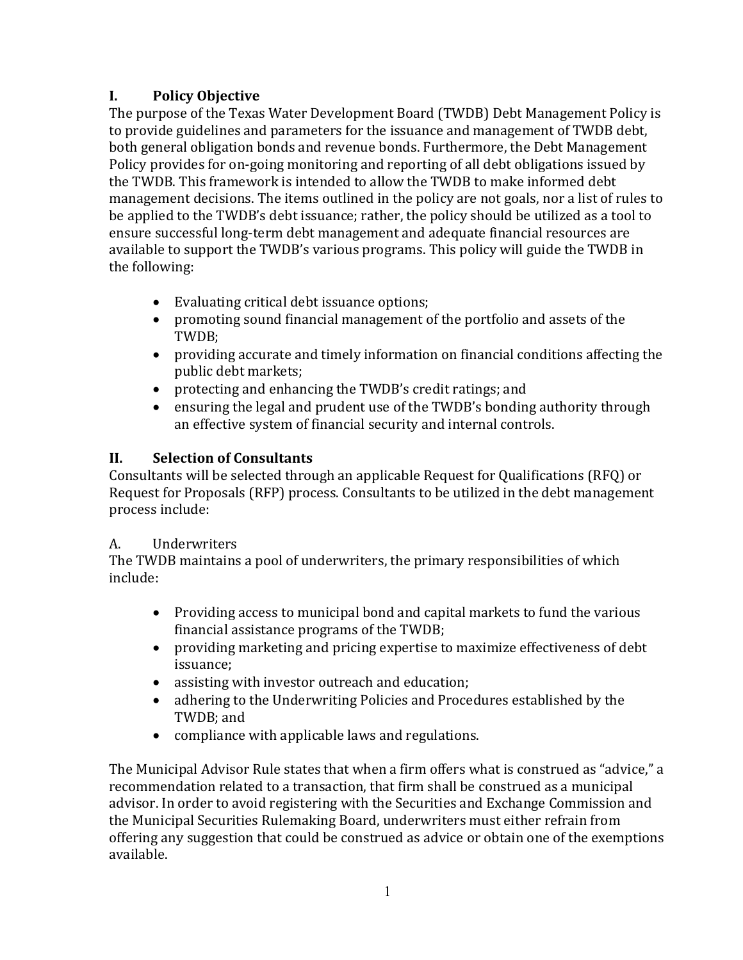# **I. Policy Objective**

The purpose of the Texas Water Development Board (TWDB) Debt Management Policy is to provide guidelines and parameters for the issuance and management of TWDB debt, both general obligation bonds and revenue bonds. Furthermore, the Debt Management Policy provides for on-going monitoring and reporting of all debt obligations issued by the TWDB. This framework is intended to allow the TWDB to make informed debt management decisions. The items outlined in the policy are not goals, nor a list of rules to be applied to the TWDB's debt issuance; rather, the policy should be utilized as a tool to ensure successful long-term debt management and adequate financial resources are available to support the TWDB's various programs. This policy will guide the TWDB in the following:

- Evaluating critical debt issuance options;
- promoting sound financial management of the portfolio and assets of the TWDB;
- providing accurate and timely information on financial conditions affecting the public debt markets;
- protecting and enhancing the TWDB's credit ratings; and<br>• ensuring the legal and prudent use of the TWDB's bonding
- ensuring the legal and prudent use of the TWDB's bonding authority through an effective system of financial security and internal controls.

# **II. Selection of Consultants**

Consultants will be selected through an applicable Request for Qualifications (RFQ) or Request for Proposals (RFP) process. Consultants to be utilized in the debt management process include:

# A. Underwriters

The TWDB maintains a pool of underwriters, the primary responsibilities of which include:

- Providing access to municipal bond and capital markets to fund the various financial assistance programs of the TWDB;
- providing marketing and pricing expertise to maximize effectiveness of debt issuance;
- assisting with investor outreach and education;<br>• adhering to the Underwriting Policies and Proce
- adhering to the Underwriting Policies and Procedures established by the TWDB; and
- compliance with applicable laws and regulations.

The Municipal Advisor Rule states that when a firm offers what is construed as "advice," a recommendation related to a transaction, that firm shall be construed as a municipal advisor. In order to avoid registering with the Securities and Exchange Commission and the Municipal Securities Rulemaking Board, underwriters must either refrain from offering any suggestion that could be construed as advice or obtain one of the exemptions available.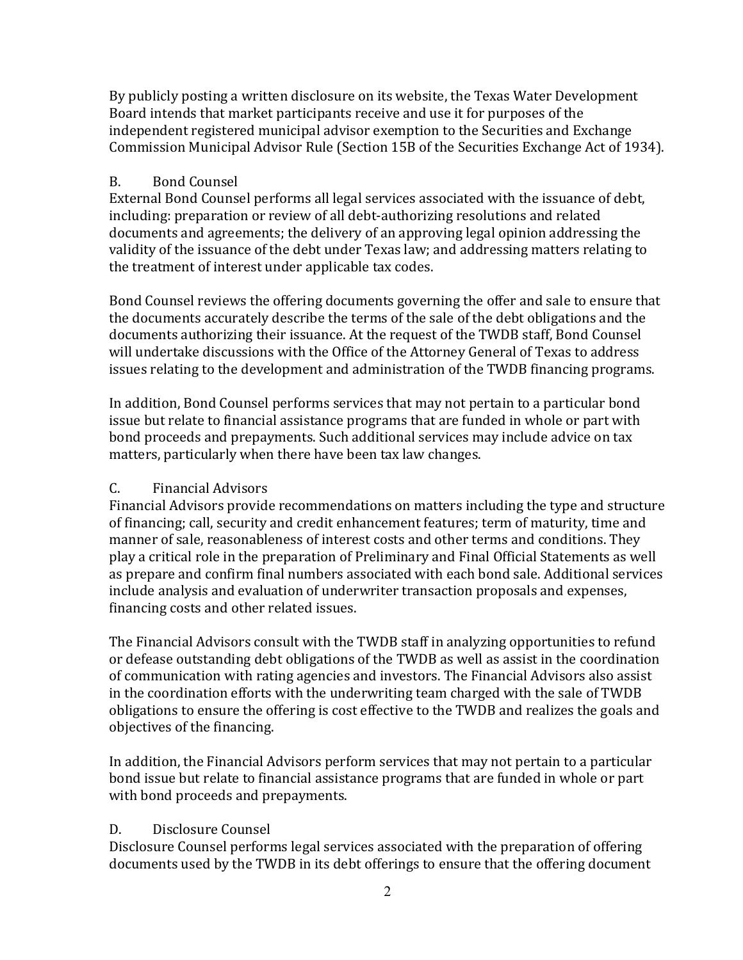By publicly posting a written disclosure on its website, the Texas Water Development Board intends that market participants receive and use it for purposes of the independent registered municipal advisor exemption to the Securities and Exchange Commission Municipal Advisor Rule (Section 15B of the Securities Exchange Act of 1934).

# B. Bond Counsel

External Bond Counsel performs all legal services associated with the issuance of debt, including: preparation or review of all debt-authorizing resolutions and related documents and agreements; the delivery of an approving legal opinion addressing the validity of the issuance of the debt under Texas law; and addressing matters relating to the treatment of interest under applicable tax codes.

Bond Counsel reviews the offering documents governing the offer and sale to ensure that the documents accurately describe the terms of the sale of the debt obligations and the documents authorizing their issuance. At the request of the TWDB staff, Bond Counsel will undertake discussions with the Office of the Attorney General of Texas to address issues relating to the development and administration of the TWDB financing programs.

In addition, Bond Counsel performs services that may not pertain to a particular bond issue but relate to financial assistance programs that are funded in whole or part with bond proceeds and prepayments. Such additional services may include advice on tax matters, particularly when there have been tax law changes.

## C. Financial Advisors

Financial Advisors provide recommendations on matters including the type and structure of financing; call, security and credit enhancement features; term of maturity, time and manner of sale, reasonableness of interest costs and other terms and conditions. They play a critical role in the preparation of Preliminary and Final Official Statements as well as prepare and confirm final numbers associated with each bond sale. Additional services include analysis and evaluation of underwriter transaction proposals and expenses, financing costs and other related issues.

The Financial Advisors consult with the TWDB staff in analyzing opportunities to refund or defease outstanding debt obligations of the TWDB as well as assist in the coordination of communication with rating agencies and investors. The Financial Advisors also assist in the coordination efforts with the underwriting team charged with the sale of TWDB obligations to ensure the offering is cost effective to the TWDB and realizes the goals and objectives of the financing.

In addition, the Financial Advisors perform services that may not pertain to a particular bond issue but relate to financial assistance programs that are funded in whole or part with bond proceeds and prepayments.

## D. Disclosure Counsel

Disclosure Counsel performs legal services associated with the preparation of offering documents used by the TWDB in its debt offerings to ensure that the offering document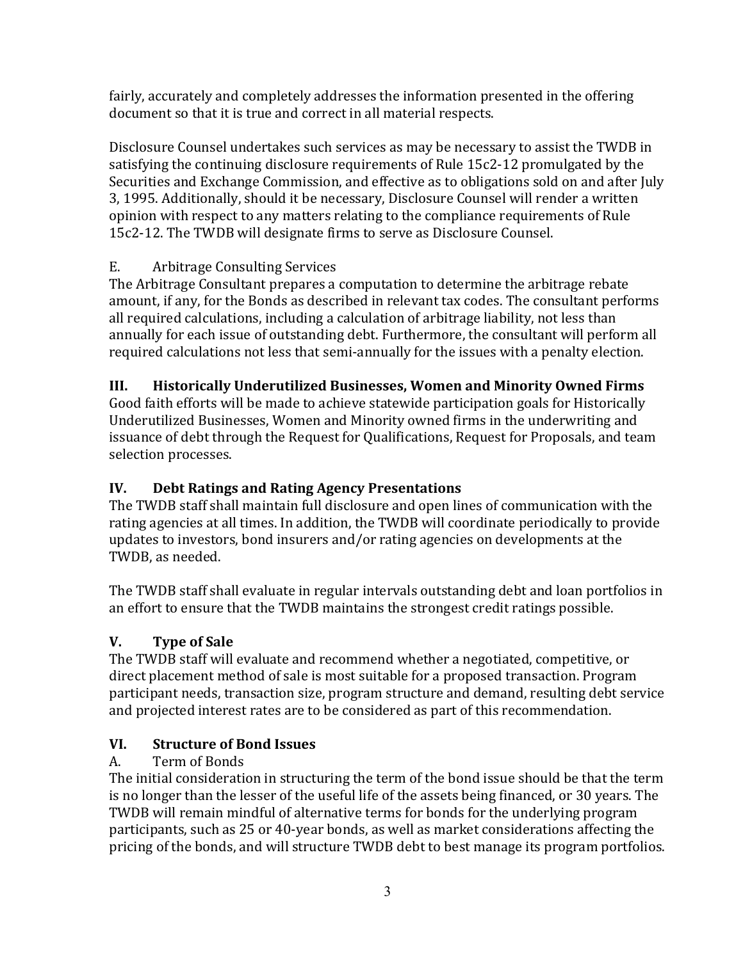fairly, accurately and completely addresses the information presented in the offering document so that it is true and correct in all material respects.

Disclosure Counsel undertakes such services as may be necessary to assist the TWDB in satisfying the continuing disclosure requirements of Rule 15c2-12 promulgated by the Securities and Exchange Commission, and effective as to obligations sold on and after July 3, 1995. Additionally, should it be necessary, Disclosure Counsel will render a written opinion with respect to any matters relating to the compliance requirements of Rule 15c2-12. The TWDB will designate firms to serve as Disclosure Counsel.

# E. Arbitrage Consulting Services

The Arbitrage Consultant prepares a computation to determine the arbitrage rebate amount, if any, for the Bonds as described in relevant tax codes. The consultant performs all required calculations, including a calculation of arbitrage liability, not less than annually for each issue of outstanding debt. Furthermore, the consultant will perform all required calculations not less that semi-annually for the issues with a penalty election.

# **III. Historically Underutilized Businesses, Women and Minority Owned Firms**

Good faith efforts will be made to achieve statewide participation goals for Historically Underutilized Businesses, Women and Minority owned firms in the underwriting and issuance of debt through the Request for Qualifications, Request for Proposals, and team selection processes.

# **IV. Debt Ratings and Rating Agency Presentations**

The TWDB staff shall maintain full disclosure and open lines of communication with the rating agencies at all times. In addition, the TWDB will coordinate periodically to provide updates to investors, bond insurers and/or rating agencies on developments at the TWDB, as needed.

The TWDB staff shall evaluate in regular intervals outstanding debt and loan portfolios in an effort to ensure that the TWDB maintains the strongest credit ratings possible.

# **V. Type of Sale**

The TWDB staff will evaluate and recommend whether a negotiated, competitive, or direct placement method of sale is most suitable for a proposed transaction. Program participant needs, transaction size, program structure and demand, resulting debt service and projected interest rates are to be considered as part of this recommendation.

# **VI. Structure of Bond Issues**

# A. Term of Bonds

The initial consideration in structuring the term of the bond issue should be that the term is no longer than the lesser of the useful life of the assets being financed, or 30 years. The TWDB will remain mindful of alternative terms for bonds for the underlying program participants, such as 25 or 40-year bonds, as well as market considerations affecting the pricing of the bonds, and will structure TWDB debt to best manage its program portfolios.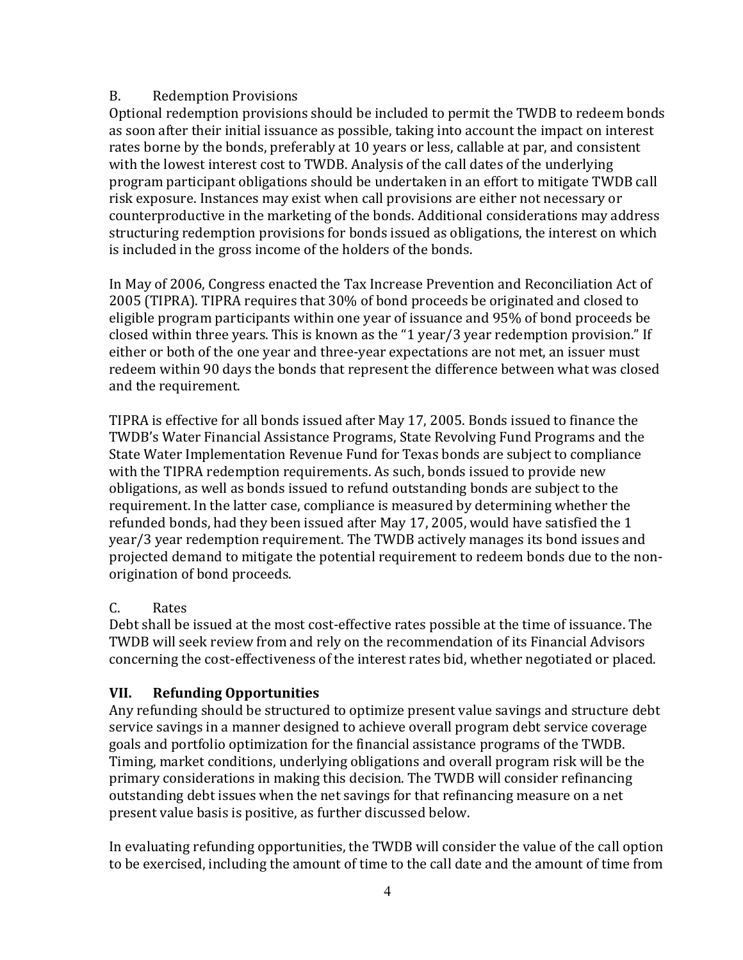# B. Redemption Provisions

Optional redemption provisions should be included to permit the TWDB to redeem bonds as soon after their initial issuance as possible, taking into account the impact on interest rates borne by the bonds, preferably at 10 years or less, callable at par, and consistent with the lowest interest cost to TWDB. Analysis of the call dates of the underlying program participant obligations should be undertaken in an effort to mitigate TWDB call risk exposure. Instances may exist when call provisions are either not necessary or counterproductive in the marketing of the bonds. Additional considerations may address structuring redemption provisions for bonds issued as obligations, the interest on which is included in the gross income of the holders of the bonds.

In May of 2006, Congress enacted the Tax Increase Prevention and Reconciliation Act of 2005 (TIPRA). TIPRA requires that 30% of bond proceeds be originated and closed to eligible program participants within one year of issuance and 95% of bond proceeds be closed within three years. This is known as the "1 year/3 year redemption provision." If either or both of the one year and three-year expectations are not met, an issuer must redeem within 90 days the bonds that represent the difference between what was closed and the requirement.

TIPRA is effective for all bonds issued after May 17, 2005. Bonds issued to finance the TWDB's Water Financial Assistance Programs, State Revolving Fund Programs and the State Water Implementation Revenue Fund for Texas bonds are subject to compliance with the TIPRA redemption requirements. As such, bonds issued to provide new obligations, as well as bonds issued to refund outstanding bonds are subject to the requirement. In the latter case, compliance is measured by determining whether the refunded bonds, had they been issued after May 17, 2005, would have satisfied the 1 year/3 year redemption requirement. The TWDB actively manages its bond issues and projected demand to mitigate the potential requirement to redeem bonds due to the nonorigination of bond proceeds.

## C. Rates

Debt shall be issued at the most cost-effective rates possible at the time of issuance. The TWDB will seek review from and rely on the recommendation of its Financial Advisors concerning the cost-effectiveness of the interest rates bid, whether negotiated or placed.

# **VII. Refunding Opportunities**

Any refunding should be structured to optimize present value savings and structure debt service savings in a manner designed to achieve overall program debt service coverage goals and portfolio optimization for the financial assistance programs of the TWDB. Timing, market conditions, underlying obligations and overall program risk will be the primary considerations in making this decision. The TWDB will consider refinancing outstanding debt issues when the net savings for that refinancing measure on a net present value basis is positive, as further discussed below.

In evaluating refunding opportunities, the TWDB will consider the value of the call option to be exercised, including the amount of time to the call date and the amount of time from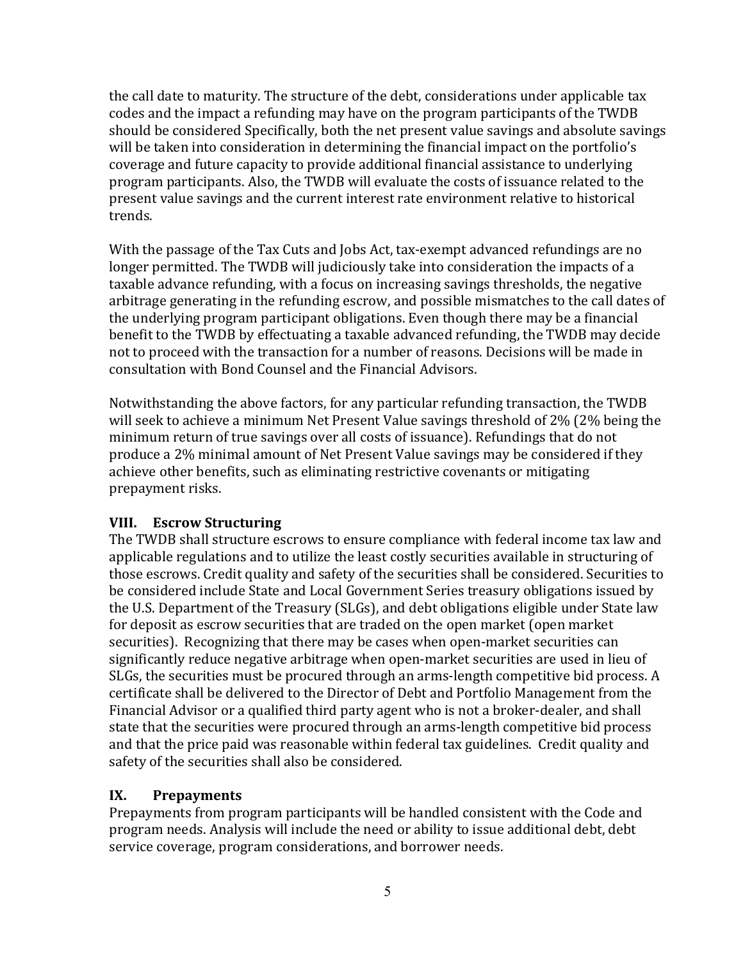the call date to maturity. The structure of the debt, considerations under applicable tax codes and the impact a refunding may have on the program participants of the TWDB should be considered Specifically, both the net present value savings and absolute savings will be taken into consideration in determining the financial impact on the portfolio's coverage and future capacity to provide additional financial assistance to underlying program participants. Also, the TWDB will evaluate the costs of issuance related to the present value savings and the current interest rate environment relative to historical trends.

With the passage of the Tax Cuts and Jobs Act, tax-exempt advanced refundings are no longer permitted. The TWDB will judiciously take into consideration the impacts of a taxable advance refunding, with a focus on increasing savings thresholds, the negative arbitrage generating in the refunding escrow, and possible mismatches to the call dates of the underlying program participant obligations. Even though there may be a financial benefit to the TWDB by effectuating a taxable advanced refunding, the TWDB may decide not to proceed with the transaction for a number of reasons. Decisions will be made in consultation with Bond Counsel and the Financial Advisors.

Notwithstanding the above factors, for any particular refunding transaction, the TWDB will seek to achieve a minimum Net Present Value savings threshold of 2% (2% being the minimum return of true savings over all costs of issuance). Refundings that do not produce a 2% minimal amount of Net Present Value savings may be considered if they achieve other benefits, such as eliminating restrictive covenants or mitigating prepayment risks.

# **VIII. Escrow Structuring**

The TWDB shall structure escrows to ensure compliance with federal income tax law and applicable regulations and to utilize the least costly securities available in structuring of those escrows. Credit quality and safety of the securities shall be considered. Securities to be considered include State and Local Government Series treasury obligations issued by the U.S. Department of the Treasury (SLGs), and debt obligations eligible under State law for deposit as escrow securities that are traded on the open market (open market securities). Recognizing that there may be cases when open-market securities can significantly reduce negative arbitrage when open-market securities are used in lieu of SLGs, the securities must be procured through an arms-length competitive bid process. A certificate shall be delivered to the Director of Debt and Portfolio Management from the Financial Advisor or a qualified third party agent who is not a broker-dealer, and shall state that the securities were procured through an arms-length competitive bid process and that the price paid was reasonable within federal tax guidelines. Credit quality and safety of the securities shall also be considered.

# **IX. Prepayments**

Prepayments from program participants will be handled consistent with the Code and program needs. Analysis will include the need or ability to issue additional debt, debt service coverage, program considerations, and borrower needs.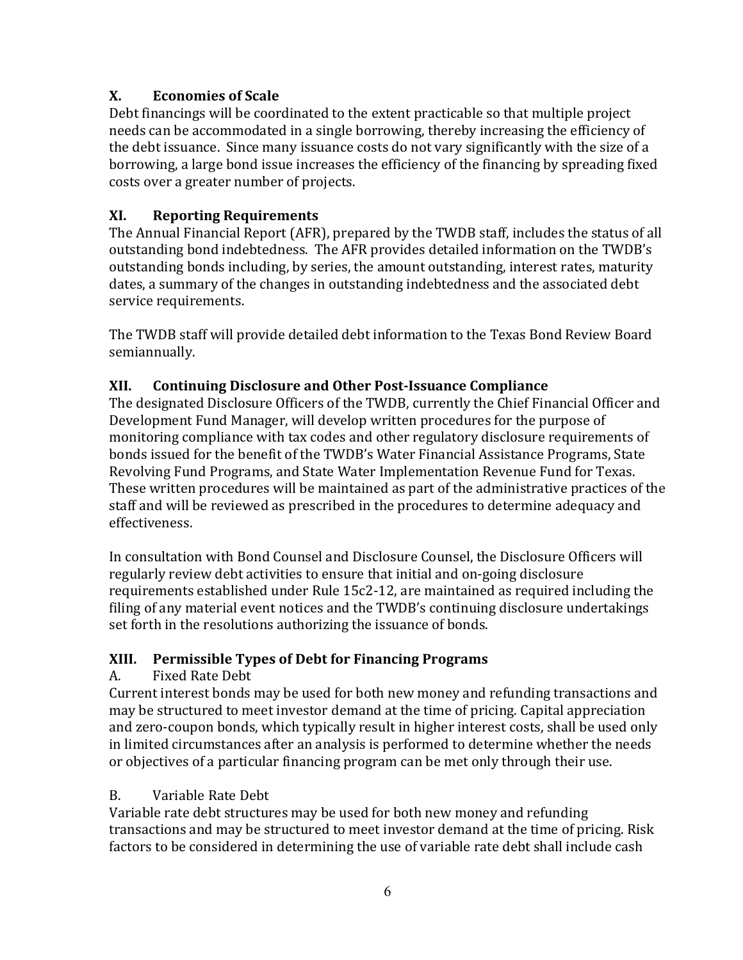# **X. Economies of Scale**

Debt financings will be coordinated to the extent practicable so that multiple project needs can be accommodated in a single borrowing, thereby increasing the efficiency of the debt issuance. Since many issuance costs do not vary significantly with the size of a borrowing, a large bond issue increases the efficiency of the financing by spreading fixed costs over a greater number of projects.

# **XI. Reporting Requirements**

The Annual Financial Report (AFR), prepared by the TWDB staff, includes the status of all outstanding bond indebtedness. The AFR provides detailed information on the TWDB's outstanding bonds including, by series, the amount outstanding, interest rates, maturity dates, a summary of the changes in outstanding indebtedness and the associated debt service requirements.

The TWDB staff will provide detailed debt information to the Texas Bond Review Board semiannually.

# **XII. Continuing Disclosure and Other Post-Issuance Compliance**

The designated Disclosure Officers of the TWDB, currently the Chief Financial Officer and Development Fund Manager, will develop written procedures for the purpose of monitoring compliance with tax codes and other regulatory disclosure requirements of bonds issued for the benefit of the TWDB's Water Financial Assistance Programs, State Revolving Fund Programs, and State Water Implementation Revenue Fund for Texas. These written procedures will be maintained as part of the administrative practices of the staff and will be reviewed as prescribed in the procedures to determine adequacy and effectiveness.

In consultation with Bond Counsel and Disclosure Counsel, the Disclosure Officers will regularly review debt activities to ensure that initial and on-going disclosure requirements established under Rule 15c2-12, are maintained as required including the filing of any material event notices and the TWDB's continuing disclosure undertakings set forth in the resolutions authorizing the issuance of bonds.

# **XIII. Permissible Types of Debt for Financing Programs**

# A. Fixed Rate Debt

Current interest bonds may be used for both new money and refunding transactions and may be structured to meet investor demand at the time of pricing. Capital appreciation and zero-coupon bonds, which typically result in higher interest costs, shall be used only in limited circumstances after an analysis is performed to determine whether the needs or objectives of a particular financing program can be met only through their use.

# B. Variable Rate Debt

Variable rate debt structures may be used for both new money and refunding transactions and may be structured to meet investor demand at the time of pricing. Risk factors to be considered in determining the use of variable rate debt shall include cash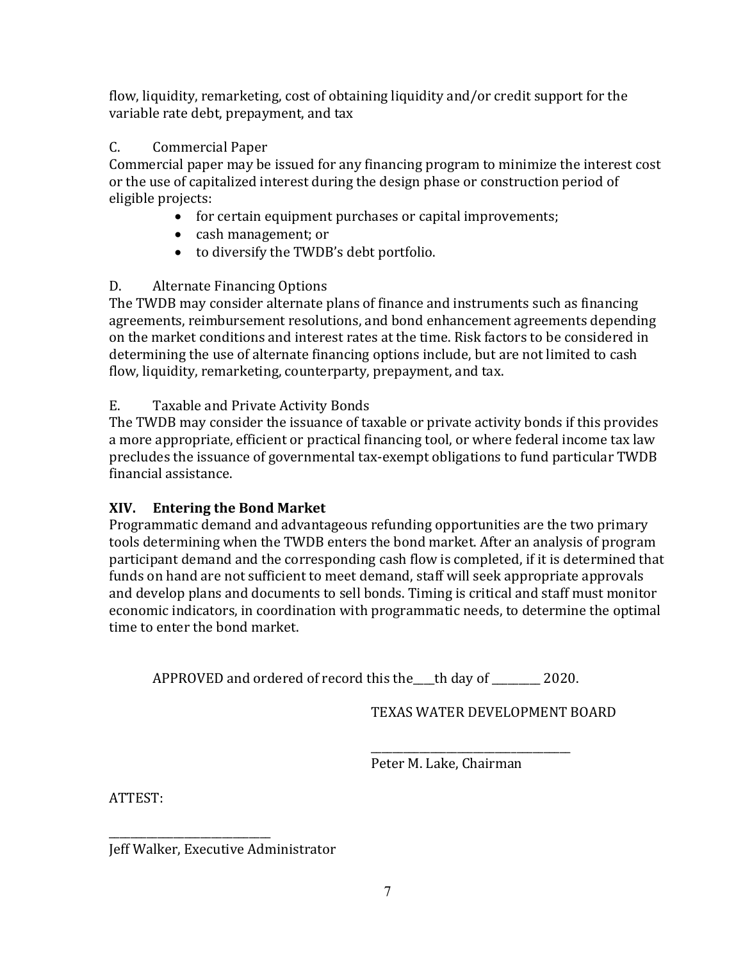flow, liquidity, remarketing, cost of obtaining liquidity and/or credit support for the variable rate debt, prepayment, and tax

# C. Commercial Paper

Commercial paper may be issued for any financing program to minimize the interest cost or the use of capitalized interest during the design phase or construction period of eligible projects:

- for certain equipment purchases or capital improvements;
- cash management; or
- to diversify the TWDB's debt portfolio.

# D. Alternate Financing Options

The TWDB may consider alternate plans of finance and instruments such as financing agreements, reimbursement resolutions, and bond enhancement agreements depending on the market conditions and interest rates at the time. Risk factors to be considered in determining the use of alternate financing options include, but are not limited to cash flow, liquidity, remarketing, counterparty, prepayment, and tax.

# E. Taxable and Private Activity Bonds

The TWDB may consider the issuance of taxable or private activity bonds if this provides a more appropriate, efficient or practical financing tool, or where federal income tax law precludes the issuance of governmental tax-exempt obligations to fund particular TWDB financial assistance.

# **XIV. Entering the Bond Market**

Programmatic demand and advantageous refunding opportunities are the two primary tools determining when the TWDB enters the bond market. After an analysis of program participant demand and the corresponding cash flow is completed, if it is determined that funds on hand are not sufficient to meet demand, staff will seek appropriate approvals and develop plans and documents to sell bonds. Timing is critical and staff must monitor economic indicators, in coordination with programmatic needs, to determine the optimal time to enter the bond market.

APPROVED and ordered of record this the\_\_\_\_th day of \_\_\_\_\_\_\_\_\_ 2020.

TEXAS WATER DEVELOPMENT BOARD

\_\_\_\_\_\_\_\_\_\_\_\_\_\_\_\_\_\_\_\_\_\_\_\_\_\_\_\_\_\_\_\_\_\_\_\_\_ Peter M. Lake, Chairman

ATTEST:

\_\_\_\_\_\_\_\_\_\_\_\_\_\_\_\_\_\_\_\_\_\_\_\_\_\_\_\_\_\_ Jeff Walker, Executive Administrator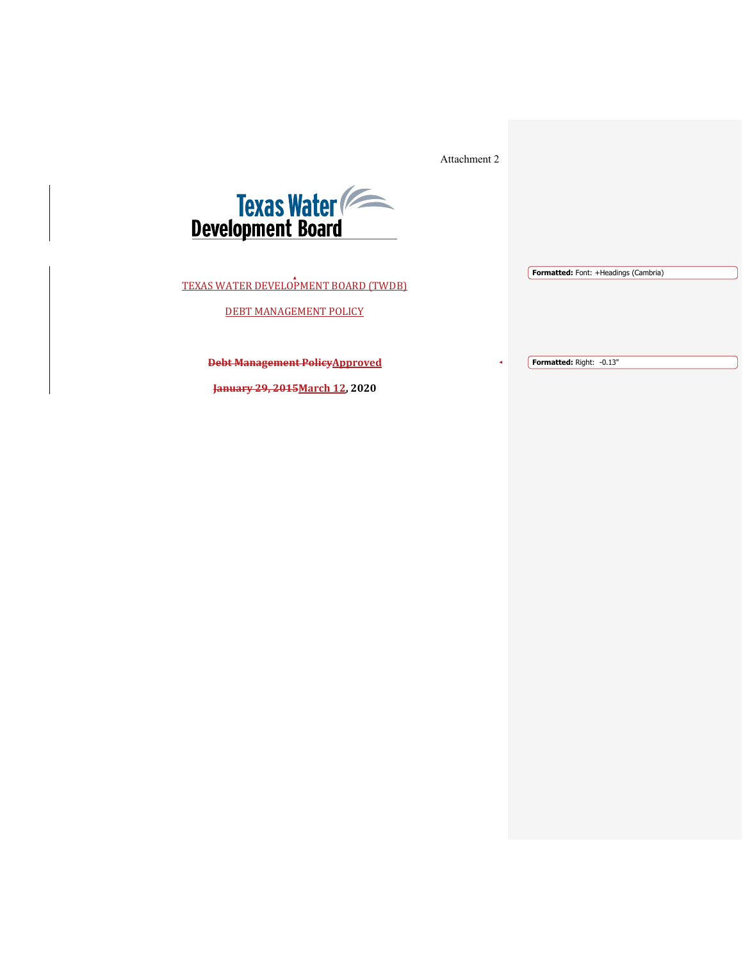Attachment 2



TEXAS WATER DEVELOPMENT BOARD (TWDB)

DEBT MANAGEMENT POLICY

**Debt Management PolicyApproved**

**Formatted:** Right: -0.13"

**Formatted:** Font: +Headings (Cambria)

**January 29, 2015March 12, 2020**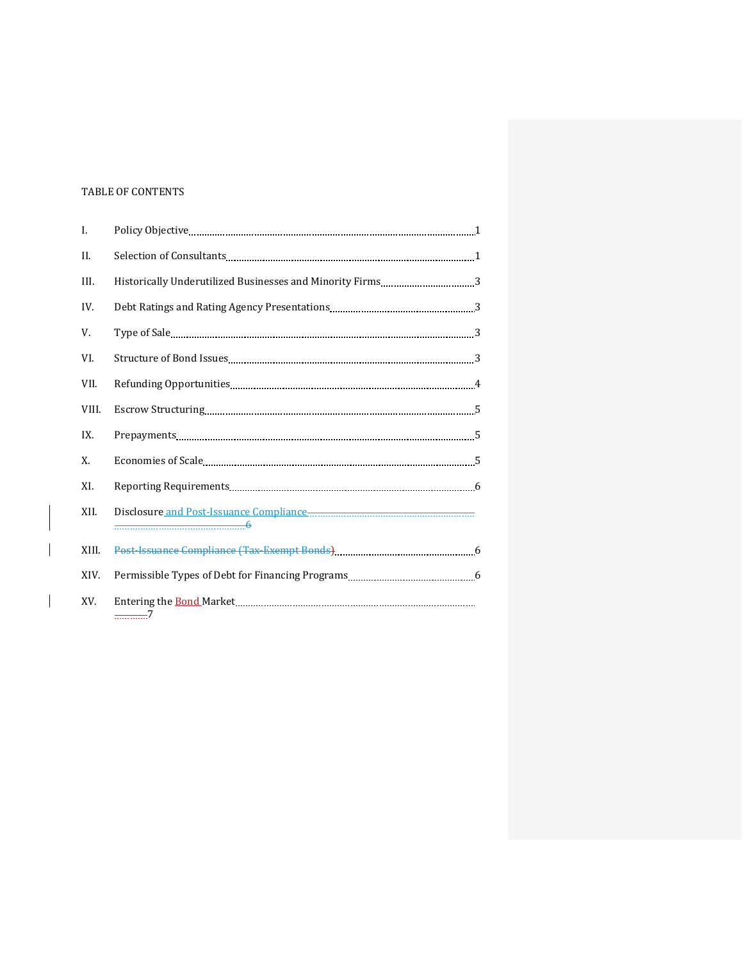#### TABLE OF CONTENTS

 $\overline{\phantom{a}}$ 

| Ι.    |               |  |
|-------|---------------|--|
| II.   |               |  |
| III.  |               |  |
| IV.   |               |  |
| V.    |               |  |
| VI.   |               |  |
| VII.  |               |  |
| VIII. |               |  |
| IX.   |               |  |
| X.    |               |  |
| XI.   |               |  |
| XII.  |               |  |
| XIII. |               |  |
| XIV.  |               |  |
| XV.   | <del></del> 7 |  |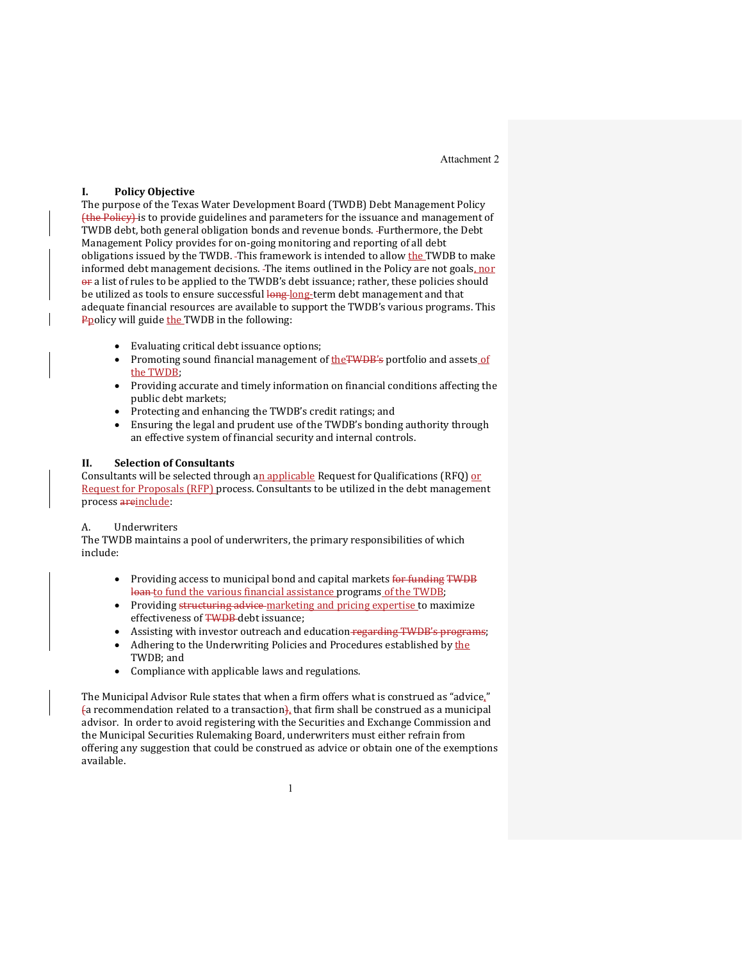Attachment 2

#### **I. Policy Objective**

The purpose of the Texas Water Development Board (TWDB) Debt Management Policy (the Policy) is to provide guidelines and parameters for the issuance and management of TWDB debt, both general obligation bonds and revenue bonds. Furthermore, the Debt Management Policy provides for on-going monitoring and reporting of all debt obligations issued by the TWDB. This framework is intended to allow the TWDB to make informed debt management decisions. The items outlined in the Policy are not goals, nor or a list of rules to be applied to the TWDB's debt issuance; rather, these policies should be utilized as tools to ensure successful long long-term debt management and that adequate financial resources are available to support the TWDB's various programs. This Ppolicy will guide the TWDB in the following:

- Evaluating critical debt issuance options;<br>• Promoting sound financial management of
- Promoting sound financial management of theTWDB's portfolio and assets of the TWDB;
- Providing accurate and timely information on financial conditions affecting the public debt markets;
- Protecting and enhancing the TWDB's credit ratings; and<br>• Ensuring the legal and prudent use of the TWDB's bondin
- Ensuring the legal and prudent use of the TWDB's bonding authority through an effective system of financial security and internal controls.

#### **II. Selection of Consultants**

Consultants will be selected through an applicable Request for Qualifications (RFQ) or Request for Proposals (RFP) process. Consultants to be utilized in the debt management process areinclude:

#### A. Underwriters

The TWDB maintains a pool of underwriters, the primary responsibilities of which include:

- Providing access to municipal bond and capital markets for funding TWDB loan to fund the various financial assistance programs of the TWDB;
- Providing structuring advice marketing and pricing expertise to maximize effectiveness of TWDB-debt issuance:
- Assisting with investor outreach and education-regarding TWDB's programs;
- Adhering to the Underwriting Policies and Procedures established by the TWDB; and
- Compliance with applicable laws and regulations.

The Municipal Advisor Rule states that when a firm offers what is construed as "advice,"  $\{a \text{ recommendation related to a transaction}\}$ , that firm shall be construed as a municipal advisor. In order to avoid registering with the Securities and Exchange Commission and the Municipal Securities Rulemaking Board, underwriters must either refrain from offering any suggestion that could be construed as advice or obtain one of the exemptions available.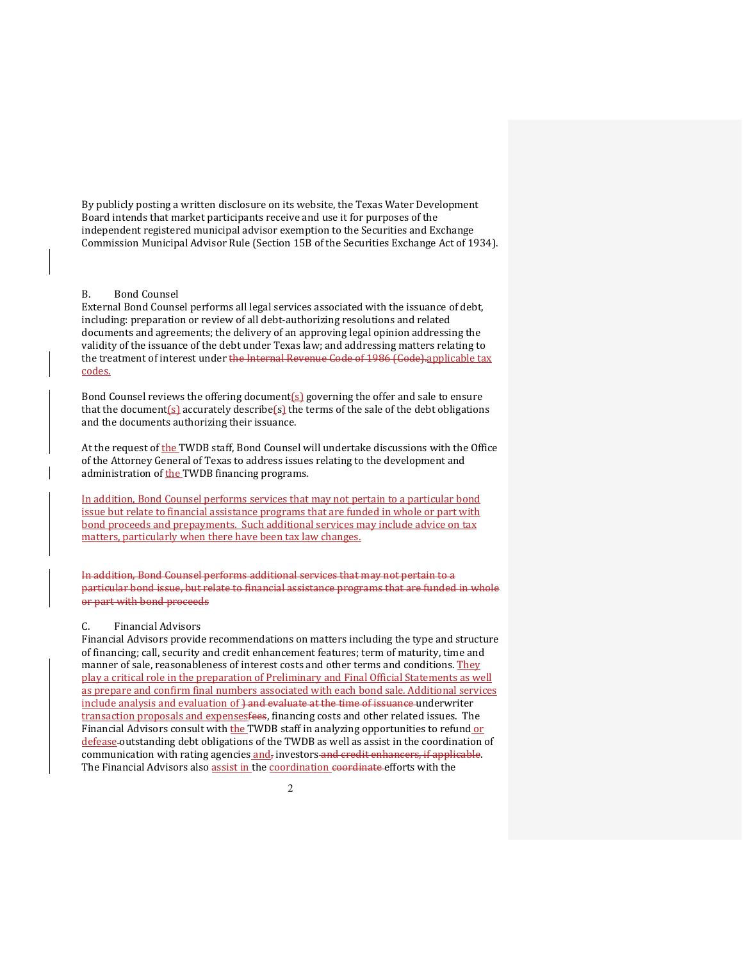By publicly posting a written disclosure on its website, the Texas Water Development Board intends that market participants receive and use it for purposes of the independent registered municipal advisor exemption to the Securities and Exchange Commission Municipal Advisor Rule (Section 15B of the Securities Exchange Act of 1934).

#### B. Bond Counsel

External Bond Counsel performs all legal services associated with the issuance of debt, including: preparation or review of all debt-authorizing resolutions and related documents and agreements; the delivery of an approving legal opinion addressing the validity of the issuance of the debt under Texas law; and addressing matters relating to the treatment of interest under the Internal Revenue Code of 1986 (Code).applicable tax codes.

Bond Counsel reviews the offering document(s) governing the offer and sale to ensure that the document(s) accurately describe(s) the terms of the sale of the debt obligations and the documents authorizing their issuance.

At the request of the TWDB staff, Bond Counsel will undertake discussions with the Office of the Attorney General of Texas to address issues relating to the development and administration of the TWDB financing programs.

In addition, Bond Counsel performs services that may not pertain to a particular bond issue but relate to financial assistance programs that are funded in whole or part with bond proceeds and prepayments. Such additional services may include advice on tax matters, particularly when there have been tax law changes.

In addition, Bond Counsel performs additional services that may not pertain to a particular bond issue, but relate to financial assistance programs that are funded in whole or part with bond proceeds

#### C. Financial Advisors

Financial Advisors provide recommendations on matters including the type and structure of financing; call, security and credit enhancement features; term of maturity, time and manner of sale, reasonableness of interest costs and other terms and conditions. They play a critical role in the preparation of Preliminary and Final Official Statements as well as prepare and confirm final numbers associated with each bond sale. Additional services include analysis and evaluation of <del>) and evaluate at the time of issuance</del> underwriter transaction proposals and expensesfees, financing costs and other related issues. The Financial Advisors consult with the TWDB staff in analyzing opportunities to refund or defease outstanding debt obligations of the TWDB as well as assist in the coordination of communication with rating agencies and, investors and credit enhancers, if applicable. The Financial Advisors also assist in the coordination coordinate efforts with the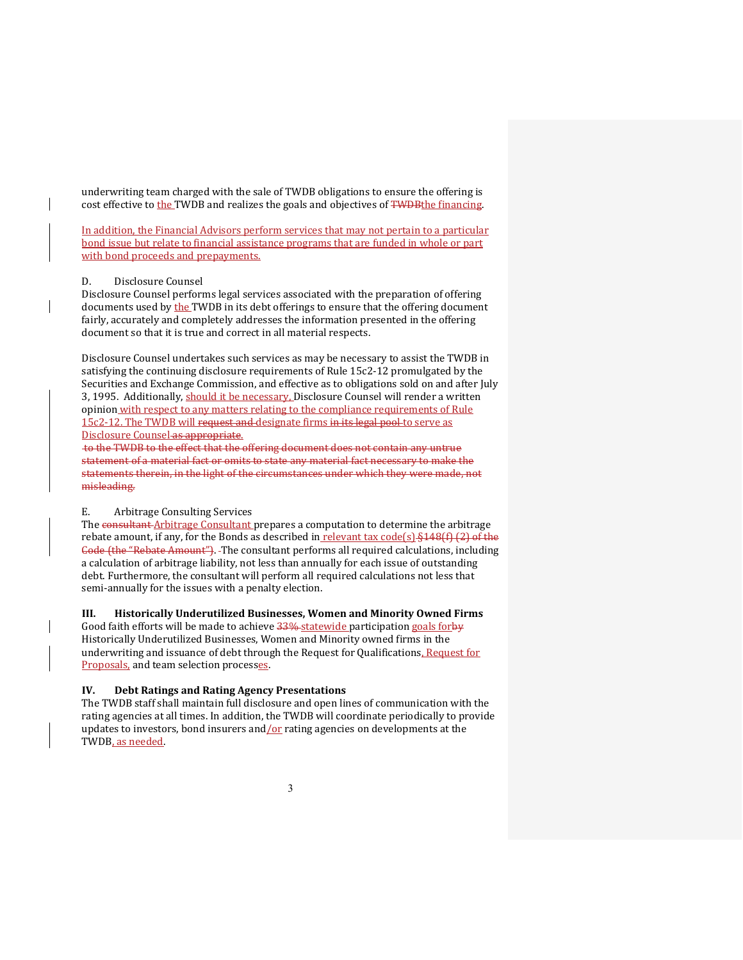underwriting team charged with the sale of TWDB obligations to ensure the offering is cost effective to the TWDB and realizes the goals and objectives of TWDBthe financing.

In addition, the Financial Advisors perform services that may not pertain to a particular bond issue but relate to financial assistance programs that are funded in whole or part with bond proceeds and prepayments.

#### D. Disclosure Counsel

Disclosure Counsel performs legal services associated with the preparation of offering documents used by the TWDB in its debt offerings to ensure that the offering document fairly, accurately and completely addresses the information presented in the offering document so that it is true and correct in all material respects.

Disclosure Counsel undertakes such services as may be necessary to assist the TWDB in satisfying the continuing disclosure requirements of Rule 15c2-12 promulgated by the Securities and Exchange Commission, and effective as to obligations sold on and after July 3, 1995. Additionally, should it be necessary, Disclosure Counsel will render a written opinion with respect to any matters relating to the compliance requirements of Rule 15c2-12. The TWDB will request and designate firms in its legal pool to serve as Disclosure Counsel as appropriate.

to the TWDB to the effect that the offering document does not contain any untrue statement of a material fact or omits to state any material fact necessary to make the statements therein, in the light of the circumstances under which they were made, not misleading.

#### E. Arbitrage Consulting Services

The consultant Arbitrage Consultant prepares a computation to determine the arbitrage rebate amount, if any, for the Bonds as described in relevant tax code(s)  $\frac{1}{2}$  48(f) (2) of the Code (the "Rebate Amount"). The consultant performs all required calculations, including a calculation of arbitrage liability, not less than annually for each issue of outstanding debt. Furthermore, the consultant will perform all required calculations not less that semi-annually for the issues with a penalty election.

#### III. **Historically Underutilized Businesses, Women and Minority Owned Firms**

Good faith efforts will be made to achieve 33% statewide participation goals forby Historically Underutilized Businesses, Women and Minority owned firms in the underwriting and issuance of debt through the Request for Qualifications, Request for Proposals, and team selection processes.

#### **IV. Debt Ratings and Rating Agency Presentations**

The TWDB staff shall maintain full disclosure and open lines of communication with the rating agencies at all times. In addition, the TWDB will coordinate periodically to provide updates to investors, bond insurers and  $\chi$  rating agencies on developments at the TWDB, as needed.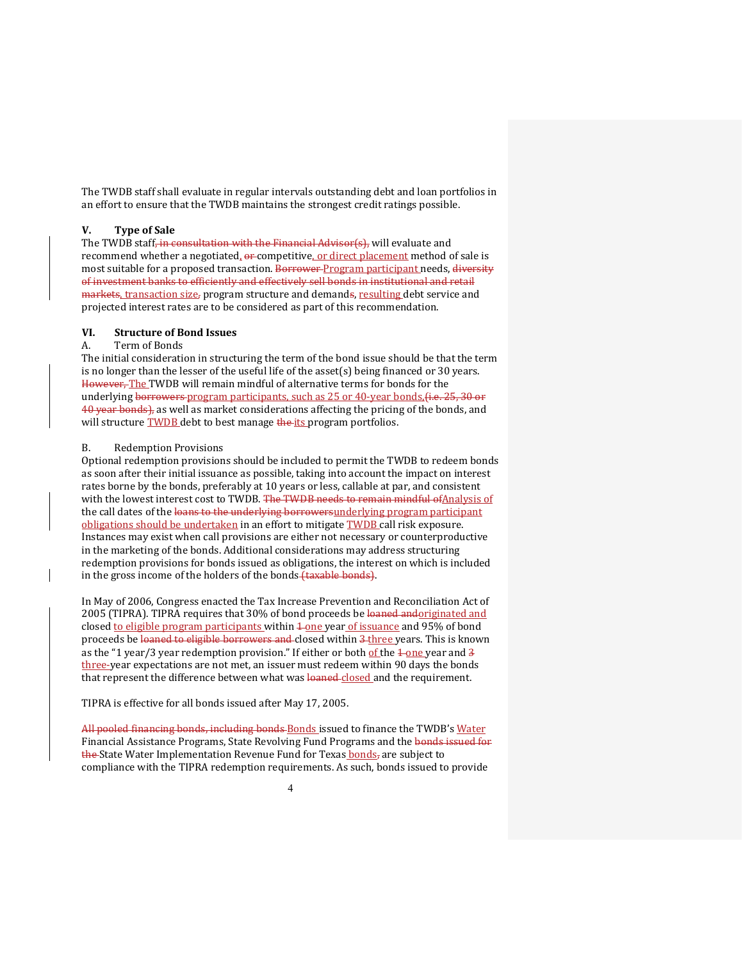The TWDB staff shall evaluate in regular intervals outstanding debt and loan portfolios in an effort to ensure that the TWDB maintains the strongest credit ratings possible.

#### **V. Type of Sale**

The TWDB staff<del>, in consultation with the Financial Advisor(s),</del> will evaluate and recommend whether a negotiated,  $\theta$  competitive, or direct placement method of sale is most suitable for a proposed transaction. Borrower-Program participant needs, diversity of investment banks to efficiently and effectively sell bonds in institutional and retail markets, transaction size, program structure and demands, resulting debt service and projected interest rates are to be considered as part of this recommendation.

#### **VI. Structure of Bond Issues**

#### A. Term of Bonds

The initial consideration in structuring the term of the bond issue should be that the term is no longer than the lesser of the useful life of the asset(s) being financed or 30 years. However, The TWDB will remain mindful of alternative terms for bonds for the underlying borrowers program participants, such as 25 or 40-year bonds,  $\ddot{\theta}$ ,  $\ddot{\theta}$ ,  $\ddot{\theta}$  or 40 year bonds), as well as market considerations affecting the pricing of the bonds, and will structure TWDB debt to best manage the its program portfolios.

#### B. Redemption Provisions

Optional redemption provisions should be included to permit the TWDB to redeem bonds as soon after their initial issuance as possible, taking into account the impact on interest rates borne by the bonds, preferably at 10 years or less, callable at par, and consistent with the lowest interest cost to TWDB. The TWDB needs to remain mindful of Analysis of the call dates of the loans to the underlying borrowers underlying program participant obligations should be undertaken in an effort to mitigate TWDB call risk exposure. Instances may exist when call provisions are either not necessary or counterproductive in the marketing of the bonds. Additional considerations may address structuring redemption provisions for bonds issued as obligations, the interest on which is included in the gross income of the holders of the bonds (taxable bonds).

In May of 2006, Congress enacted the Tax Increase Prevention and Reconciliation Act of 2005 (TIPRA). TIPRA requires that 30% of bond proceeds be loaned andoriginated and closed to eligible program participants within  $\frac{1}{2}$  one year of issuance and 95% of bond proceeds be loaned to eligible borrowers and closed within 3 three years. This is known as the "1 year/3 year redemption provision." If either or both of the  $\frac{1}{2}$  one year and  $\frac{1}{3}$ three-year expectations are not met, an issuer must redeem within 90 days the bonds that represent the difference between what was loaned closed and the requirement.

TIPRA is effective for all bonds issued after May 17, 2005.

All pooled financing bonds, including bonds Bonds issued to finance the TWDB's Water Financial Assistance Programs, State Revolving Fund Programs and the bonds issued for the State Water Implementation Revenue Fund for Texas bonds, are subject to compliance with the TIPRA redemption requirements. As such, bonds issued to provide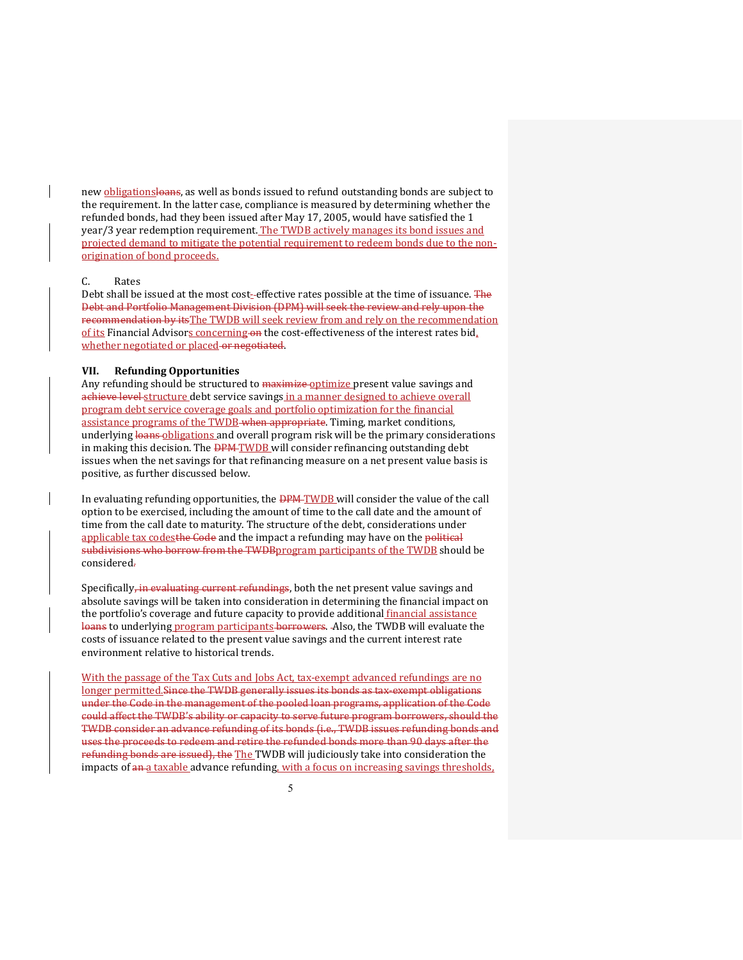new **obligationsloans**, as well as bonds issued to refund outstanding bonds are subject to the requirement. In the latter case, compliance is measured by determining whether the refunded bonds, had they been issued after May 17, 2005, would have satisfied the 1 year/3 year redemption requirement. The TWDB actively manages its bond issues and projected demand to mitigate the potential requirement to redeem bonds due to the nonorigination of bond proceeds.

#### C. Rates

Debt shall be issued at the most cost-effective rates possible at the time of issuance. The Debt and Portfolio Management Division (DPM) will seek the review and rely upon the recommendation by itsThe TWDB will seek review from and rely on the recommendation of its Financial Advisors concerning on the cost-effectiveness of the interest rates bid, whether negotiated or placed or negotiated.

#### **VII. Refunding Opportunities**

Any refunding should be structured to maximize optimize present value savings and achieve level structure debt service savings in a manner designed to achieve overall program debt service coverage goals and portfolio optimization for the financial assistance programs of the TWDB-when appropriate. Timing, market conditions, underlying loans obligations and overall program risk will be the primary considerations in making this decision. The **DPM-TWDB** will consider refinancing outstanding debt issues when the net savings for that refinancing measure on a net present value basis is positive, as further discussed below.

In evaluating refunding opportunities, the **DPM** TWDB will consider the value of the call option to be exercised, including the amount of time to the call date and the amount of time from the call date to maturity. The structure of the debt, considerations under applicable tax codesthe Gode and the impact a refunding may have on the political subdivisions who borrow from the TWDBprogram participants of the TWDB should be considered.

Specifically, in evaluating current refundings, both the net present value savings and absolute savings will be taken into consideration in determining the financial impact on the portfolio's coverage and future capacity to provide additional *financial assistance* loans to underlying program participants borrowers. - Also, the TWDB will evaluate the costs of issuance related to the present value savings and the current interest rate environment relative to historical trends.

With the passage of the Tax Cuts and Jobs Act, tax-exempt advanced refundings are no longer permitted.Since the TWDB generally issues its bonds as tax-exempt obligations under the Code in the management of the pooled loan programs, application of the Code could affect the TWDB's ability or capacity to serve future program borrowers, should the TWDB consider an advance refunding of its bonds (i.e., TWDB issues refunding bonds and uses the proceeds to redeem and retire the refunded bonds more than 90 days after the refunding bonds are issued), the The TWDB will judiciously take into consideration the impacts of an a taxable advance refunding, with a focus on increasing savings thresholds,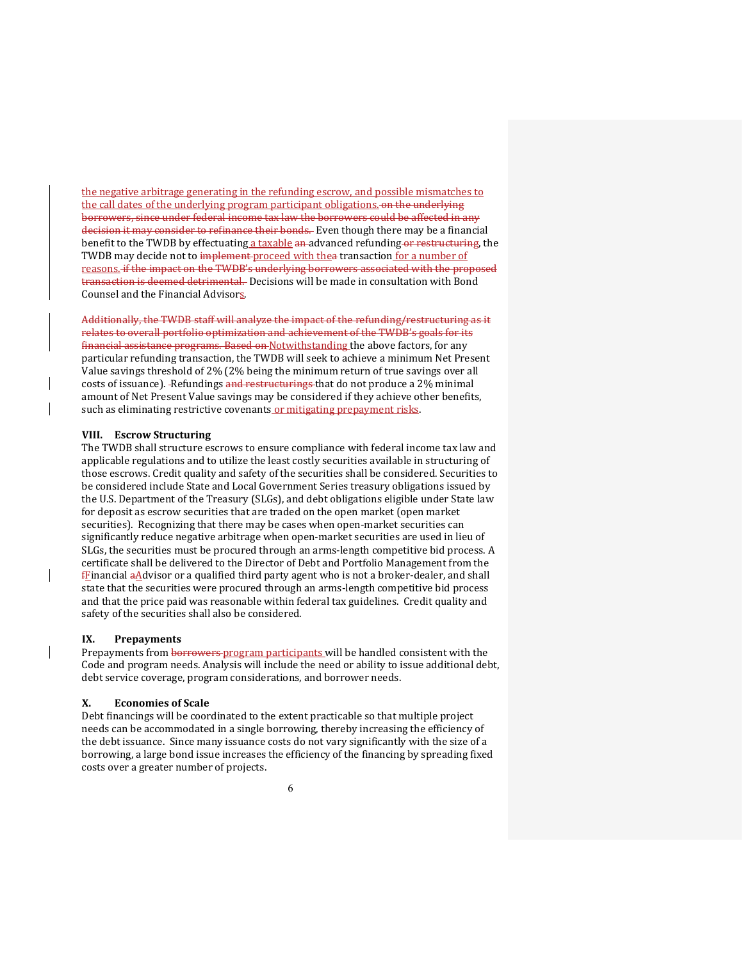the negative arbitrage generating in the refunding escrow, and possible mismatches to the call dates of the underlying program participant obligations. on the underlying borrowers, since under federal income tax law the borrowers could be affected in any decision it may consider to refinance their bonds. Even though there may be a financial benefit to the TWDB by effectuating a taxable an advanced refunding or restructuring, the TWDB may decide not to implement proceed with thea transaction for a number of reasons. if the impact on the TWDB's underlying borrowers associated with the proposed transaction is deemed detrimental. Decisions will be made in consultation with Bond Counsel and the Financial Advisors.

Additionally, the TWDB staff will analyze the impact of the refunding/restructuring as it relates to overall portfolio optimization and achievement of the TWDB's goals for its financial assistance programs. Based on Notwithstanding the above factors, for any particular refunding transaction, the TWDB will seek to achieve a minimum Net Present Value savings threshold of 2% (2% being the minimum return of true savings over all costs of issuance). -Refundings and restructurings that do not produce a 2% minimal amount of Net Present Value savings may be considered if they achieve other benefits, such as eliminating restrictive covenants or mitigating prepayment risks.

#### **VIII. Escrow Structuring**

The TWDB shall structure escrows to ensure compliance with federal income tax law and applicable regulations and to utilize the least costly securities available in structuring of those escrows. Credit quality and safety of the securities shall be considered. Securities to be considered include State and Local Government Series treasury obligations issued by the U.S. Department of the Treasury (SLGs), and debt obligations eligible under State law for deposit as escrow securities that are traded on the open market (open market securities). Recognizing that there may be cases when open-market securities can significantly reduce negative arbitrage when open-market securities are used in lieu of SLGs, the securities must be procured through an arms-length competitive bid process. A certificate shall be delivered to the Director of Debt and Portfolio Management from the  $f_{\text{E}}$ inancial a $\Delta$ dvisor or a qualified third party agent who is not a broker-dealer, and shall state that the securities were procured through an arms-length competitive bid process and that the price paid was reasonable within federal tax guidelines. Credit quality and safety of the securities shall also be considered.

#### **IX. Prepayments**

Prepayments from borrowers-program participants will be handled consistent with the Code and program needs. Analysis will include the need or ability to issue additional debt, debt service coverage, program considerations, and borrower needs.

#### **X. Economies of Scale**

Debt financings will be coordinated to the extent practicable so that multiple project needs can be accommodated in a single borrowing, thereby increasing the efficiency of the debt issuance. Since many issuance costs do not vary significantly with the size of a borrowing, a large bond issue increases the efficiency of the financing by spreading fixed costs over a greater number of projects.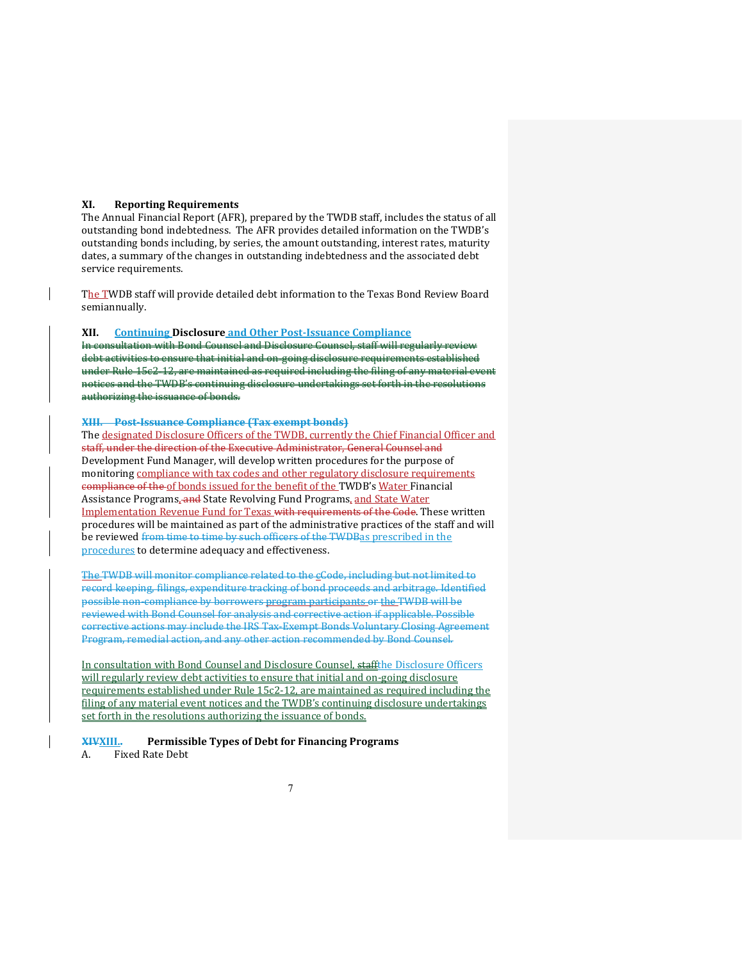#### **XI. Reporting Requirements**

The Annual Financial Report (AFR), prepared by the TWDB staff, includes the status of all outstanding bond indebtedness. The AFR provides detailed information on the TWDB's outstanding bonds including, by series, the amount outstanding, interest rates, maturity dates, a summary of the changes in outstanding indebtedness and the associated debt service requirements.

The TWDB staff will provide detailed debt information to the Texas Bond Review Board semiannually.

#### **XII. Continuing Disclosure and Other Post-Issuance Compliance**

In consultation with Bond Counsel and Disclosure Counsel, staff will regularly review debt activities to ensure that initial and on-going disclosure requirements established under Rule 15c2-12, are maintained as required including the filing of any material event notices and the TWDB's continuing disclosure undertakings set forth in the resolutions authorizing the issuance of bonds.

#### **XIII. Post-Issuance Compliance (Tax exempt bonds)**

The designated Disclosure Officers of the TWDB, currently the Chief Financial Officer and staff, under the direction of the Executive Administrator, General Counsel and Development Fund Manager, will develop written procedures for the purpose of monitoring compliance with tax codes and other regulatory disclosure requirements compliance of the of bonds issued for the benefit of the TWDB's Water Financial Assistance Programs, and State Revolving Fund Programs, and State Water Implementation Revenue Fund for Texas with requirements of the Code. These written procedures will be maintained as part of the administrative practices of the staff and will be reviewed from time to time by such officers of the TWDBas prescribed in the procedures to determine adequacy and effectiveness.

The TWDB will monitor compliance related to the cCode, including but not limited to record keeping, filings, expenditure tracking of bond proceeds and arbitrage. Identified possible non-compliance by borrowers program participants or the TWDB will be reviewed with Bond Counsel for analysis and corrective action if applicable. Possible corrective actions may include the IRS Tax-Exempt Bonds Voluntary Closing Agreement Program, remedial action, and any other action recommended by Bond Counsel.

In consultation with Bond Counsel and Disclosure Counsel, staffthe Disclosure Officers will regularly review debt activities to ensure that initial and on-going disclosure requirements established under Rule 15c2-12, are maintained as required including the filing of any material event notices and the TWDB's continuing disclosure undertakings set forth in the resolutions authorizing the issuance of bonds.

#### **XIVXIII.. Permissible Types of Debt for Financing Programs**

A. Fixed Rate Debt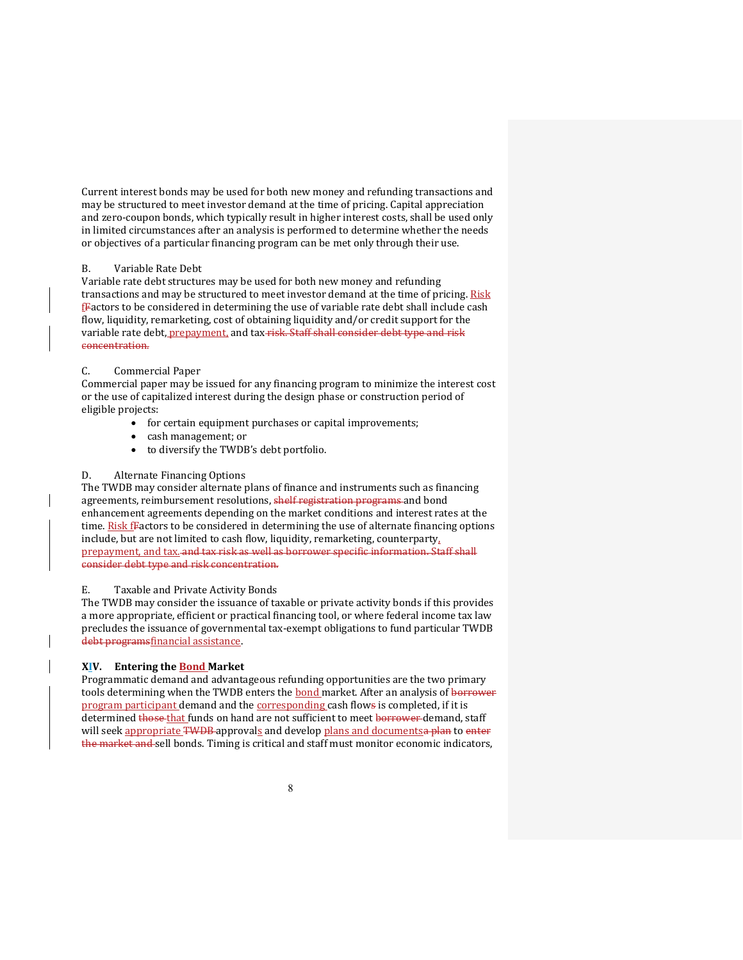Current interest bonds may be used for both new money and refunding transactions and may be structured to meet investor demand at the time of pricing. Capital appreciation and zero-coupon bonds, which typically result in higher interest costs, shall be used only in limited circumstances after an analysis is performed to determine whether the needs or objectives of a particular financing program can be met only through their use.

#### B. Variable Rate Debt

Variable rate debt structures may be used for both new money and refunding transactions and may be structured to meet investor demand at the time of pricing. Risk  $f$ Factors to be considered in determining the use of variable rate debt shall include cash flow, liquidity, remarketing, cost of obtaining liquidity and/or credit support for the variable rate debt, prepayment, and tax-risk. Staff shall consider debt type and risk concentration.

#### C. Commercial Paper

Commercial paper may be issued for any financing program to minimize the interest cost or the use of capitalized interest during the design phase or construction period of eligible projects:

- for certain equipment purchases or capital improvements;
- cash management; or
- to diversify the TWDB's debt portfolio.

#### D. Alternate Financing Options

The TWDB may consider alternate plans of finance and instruments such as financing agreements, reimbursement resolutions, shelf registration programs and bond enhancement agreements depending on the market conditions and interest rates at the time. Risk fFactors to be considered in determining the use of alternate financing options include, but are not limited to cash flow, liquidity, remarketing, counterparty, prepayment, and tax. and tax risk as well as borrower specific information. Staff shall consider debt type and risk concentration.

#### E. Taxable and Private Activity Bonds

The TWDB may consider the issuance of taxable or private activity bonds if this provides a more appropriate, efficient or practical financing tool, or where federal income tax law precludes the issuance of governmental tax-exempt obligations to fund particular TWDB debt programsfinancial assistance.

#### **XIV. Entering the Bond Market**

Programmatic demand and advantageous refunding opportunities are the two primary tools determining when the TWDB enters the **bond** market. After an analysis of borrower program participant demand and the corresponding cash flows is completed, if it is determined those that funds on hand are not sufficient to meet borrower demand, staff will seek appropriate TWDB approvals and develop plans and documentsa plan to enter the market and sell bonds. Timing is critical and staff must monitor economic indicators,